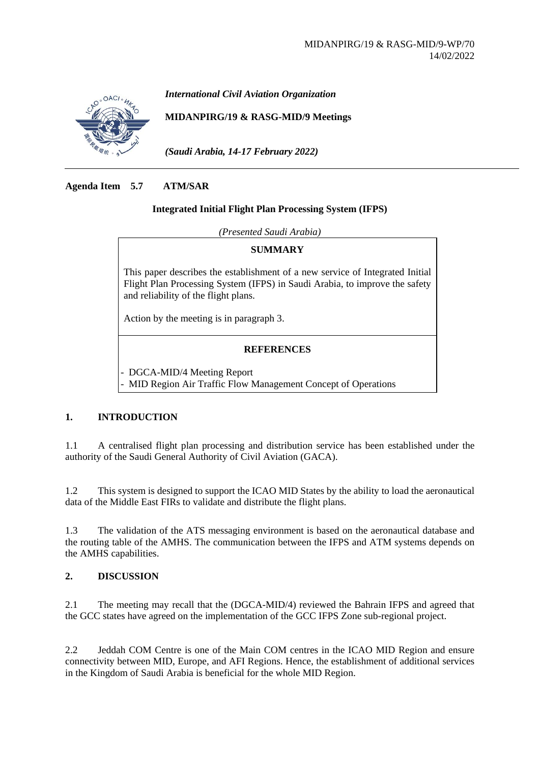

*International Civil Aviation Organization*

**MIDANPIRG/19 & RASG-MID/9 Meetings**

*(Saudi Arabia, 14-17 February 2022)*

### **Agenda Item 5.7 ATM/SAR**

#### **Integrated Initial Flight Plan Processing System (IFPS)**

*(Presented Saudi Arabia)*

#### **SUMMARY**

This paper describes the establishment of a new service of Integrated Initial Flight Plan Processing System (IFPS) in Saudi Arabia, to improve the safety and reliability of the flight plans.

Action by the meeting is in paragraph 3.

# **REFERENCES**

- DGCA-MID/4 Meeting Report - MID Region Air Traffic Flow Management Concept of Operations

## **1. INTRODUCTION**

1.1 A centralised flight plan processing and distribution service has been established under the authority of the Saudi General Authority of Civil Aviation (GACA).

1.2 This system is designed to support the ICAO MID States by the ability to load the aeronautical data of the Middle East FIRs to validate and distribute the flight plans.

1.3 The validation of the ATS messaging environment is based on the aeronautical database and the routing table of the AMHS. The communication between the IFPS and ATM systems depends on the AMHS capabilities.

## **2. DISCUSSION**

2.1 The meeting may recall that the (DGCA-MID/4) reviewed the Bahrain IFPS and agreed that the GCC states have agreed on the implementation of the GCC IFPS Zone sub-regional project.

2.2 Jeddah COM Centre is one of the Main COM centres in the ICAO MID Region and ensure connectivity between MID, Europe, and AFI Regions. Hence, the establishment of additional services in the Kingdom of Saudi Arabia is beneficial for the whole MID Region.